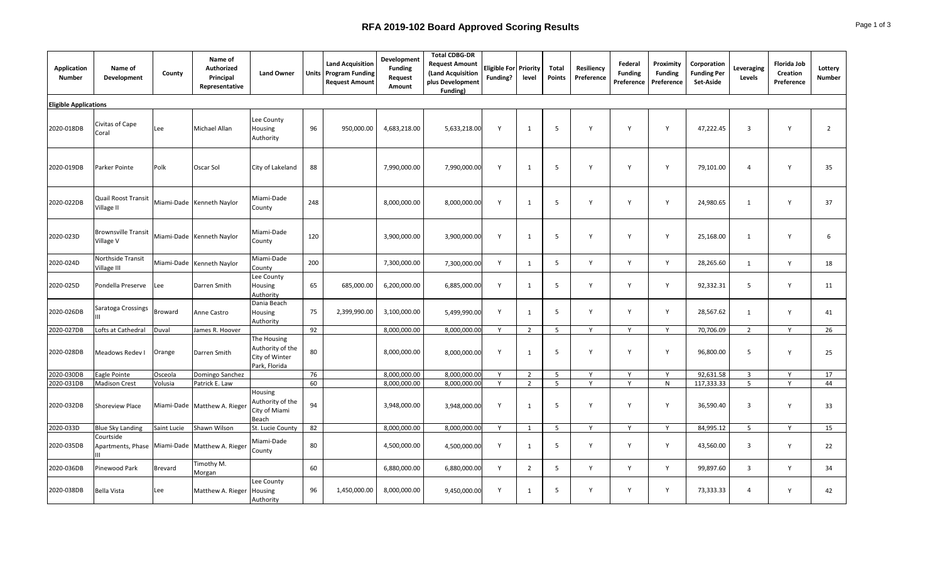| Application<br><b>Number</b> | Name of<br>Development                  | County      | Name of<br>Authorized<br>Principal<br>Representative | Land Owner                                                         |     | <b>Land Acquisition</b><br><b>Units</b> Program Funding<br><b>Request Amount</b> | Development<br><b>Funding</b><br>Request<br>Amount | <b>Total CDBG-DR</b><br><b>Request Amount</b><br>(Land Acquisition<br>plus Development<br>Funding) | <b>Eligible For Priority</b><br>Funding? | level          | <b>Total</b><br>Points | Resiliency<br>Preference | Federal<br><b>Funding</b><br>Preference | Proximity<br><b>Funding</b><br>Preference | Corporation<br><b>Funding Per</b><br>Set-Aside | Leveraging<br>Levels | <b>Florida Job</b><br>Creation<br>Preference | Lottery<br><b>Number</b> |
|------------------------------|-----------------------------------------|-------------|------------------------------------------------------|--------------------------------------------------------------------|-----|----------------------------------------------------------------------------------|----------------------------------------------------|----------------------------------------------------------------------------------------------------|------------------------------------------|----------------|------------------------|--------------------------|-----------------------------------------|-------------------------------------------|------------------------------------------------|----------------------|----------------------------------------------|--------------------------|
| <b>Eligible Applications</b> |                                         |             |                                                      |                                                                    |     |                                                                                  |                                                    |                                                                                                    |                                          |                |                        |                          |                                         |                                           |                                                |                      |                                              |                          |
| 2020-018DB                   | Civitas of Cape<br>Coral                | Lee         | Michael Allan                                        | Lee County<br>Housing<br>Authority                                 | 96  | 950,000.00                                                                       | 4,683,218.00                                       | 5,633,218.00                                                                                       | Y                                        | $\mathbf{1}$   | -5                     | Y                        | Y                                       | Y                                         | 47,222.45                                      | $\overline{3}$       | Y                                            | $\overline{2}$           |
| 2020-019DB                   | Parker Pointe                           | Polk        | Oscar Sol                                            | City of Lakeland                                                   | 88  |                                                                                  | 7,990,000.00                                       | 7,990,000.00                                                                                       | Y                                        | $\mathbf{1}$   | -5                     | Y                        | Y                                       | Y                                         | 79,101.00                                      | $\overline{4}$       | Y                                            | 35                       |
| 2020-022DB                   | Quail Roost Transit<br>Village II       |             | Miami-Dade Kenneth Naylor                            | Miami-Dade<br>County                                               | 248 |                                                                                  | 8,000,000.00                                       | 8,000,000.00                                                                                       | Y                                        | 1              | 5                      | $\mathsf{Y}$             | Y                                       | Y                                         | 24,980.65                                      | 1                    | Y                                            | 37                       |
| 2020-023D                    | <b>Brownsville Transit</b><br>Village V |             | Miami-Dade Kenneth Naylor                            | Miami-Dade<br>County                                               | 120 |                                                                                  | 3,900,000.00                                       | 3,900,000.00                                                                                       | Y                                        | $\mathbf{1}$   | -5                     | Y                        | Y                                       | Y                                         | 25,168.00                                      | 1                    | Y                                            | 6                        |
| 2020-024D                    | Northside Transit<br>Village III        |             | Miami-Dade Kenneth Naylor                            | Miami-Dade<br>County                                               | 200 |                                                                                  | 7,300,000.00                                       | 7,300,000.00                                                                                       | Y                                        | $\mathbf{1}$   | -5                     | Y                        | Y                                       | Y                                         | 28,265.60                                      | $\mathbf{1}$         | Y                                            | 18                       |
| 2020-025D                    | Pondella Preserve                       | Lee         | Darren Smith                                         | Lee County<br>Housing<br>Authority                                 | 65  | 685,000.00                                                                       | 6,200,000.00                                       | 6,885,000.00                                                                                       | Y                                        | $\mathbf{1}$   | 5                      | Y                        | Y                                       | Y                                         | 92,332.31                                      | 5                    | Y                                            | 11                       |
| 2020-026DB                   | Saratoga Crossings                      | Broward     | Anne Castro                                          | Dania Beach<br>Housing<br>Authority                                | 75  | 2,399,990.00                                                                     | 3,100,000.00                                       | 5,499,990.00                                                                                       | Y                                        | $\mathbf{1}$   | -5                     | Y                        | Y                                       | Y                                         | 28,567.62                                      | $\mathbf{1}$         | Y                                            | 41                       |
| 2020-027DB                   | Lofts at Cathedral                      | Duval       | James R. Hoover                                      |                                                                    | 92  |                                                                                  | 8,000,000.00                                       | 8,000,000.00                                                                                       | Y                                        | $\overline{2}$ | 5                      | Y                        | Y                                       | Y                                         | 70,706.09                                      | $\overline{2}$       | Y                                            | 26                       |
| 2020-028DB                   | Meadows Redev I                         | Orange      | Darren Smith                                         | The Housing<br>Authority of the<br>City of Winter<br>Park, Florida | 80  |                                                                                  | 8,000,000.00                                       | 8,000,000.00                                                                                       | Y                                        | $\mathbf{1}$   | 5                      | Y                        | Y                                       | Y                                         | 96,800.00                                      | 5                    | Y                                            | 25                       |
| 2020-030DB                   | Eagle Pointe                            | Osceola     | Domingo Sanchez                                      |                                                                    | 76  |                                                                                  | 8,000,000.00                                       | 8,000,000.00                                                                                       | Y                                        | $\overline{2}$ | -5                     | $\mathsf{Y}$             | Y                                       | Y                                         | 92,631.58                                      | $\overline{3}$       | Y                                            | 17                       |
| 2020-031DB                   | <b>Madison Crest</b>                    | Volusia     | Patrick E. Law                                       |                                                                    | 60  |                                                                                  | 8,000,000.00                                       | 8,000,000.00                                                                                       | Y                                        | $\overline{2}$ | 5                      | $\mathsf{Y}$             | Y                                       | ${\sf N}$                                 | 117,333.33                                     | 5                    | Y                                            | 44                       |
| 2020-032DB                   | <b>Shoreview Place</b>                  |             | Miami-Dade Matthew A. Rieger                         | Housing<br>Authority of the<br>City of Miami<br>Beach              | 94  |                                                                                  | 3,948,000.00                                       | 3,948,000.00                                                                                       | Y                                        | $\mathbf{1}$   | 5                      | $\mathsf{Y}$             | Y                                       | Y                                         | 36,590.40                                      | $\overline{3}$       | Y                                            | 33                       |
| 2020-033D                    | <b>Blue Sky Landing</b>                 | Saint Lucie | Shawn Wilson                                         | St. Lucie County                                                   | 82  |                                                                                  | 8,000,000.00                                       | 8,000,000.00                                                                                       | Y                                        | 1              | -5                     | $\mathsf{Y}$             | Y                                       | Y                                         | 84,995.12                                      | 5                    | Y                                            | 15                       |
| 2020-035DB                   | Courtside<br>Apartments, Phase          |             | Miami-Dade Matthew A. Rieger                         | Miami-Dade<br>County                                               | 80  |                                                                                  | 4,500,000.00                                       | 4,500,000.00                                                                                       | Y                                        | $\mathbf{1}$   | -5                     | Y                        | Y                                       | Y                                         | 43,560.00                                      | $\overline{3}$       | Y                                            | 22                       |
| 2020-036DB                   | Pinewood Park                           | Brevard     | Timothy M.<br>Morgan                                 |                                                                    | 60  |                                                                                  | 6,880,000.00                                       | 6,880,000.00                                                                                       | Y                                        | $\overline{2}$ | 5                      | Y                        | Y                                       | Y                                         | 99,897.60                                      | $\overline{3}$       | Y                                            | 34                       |
| 2020-038DB                   | Bella Vista                             | Lee         | Matthew A. Rieger                                    | Lee County<br>Housing<br>Authority                                 | 96  | 1,450,000.00                                                                     | 8,000,000.00                                       | 9,450,000.00                                                                                       | Υ                                        | $\mathbf{1}$   | -5                     | Y                        | Y                                       | Y                                         | 73,333.33                                      | $\overline{4}$       | Y                                            | 42                       |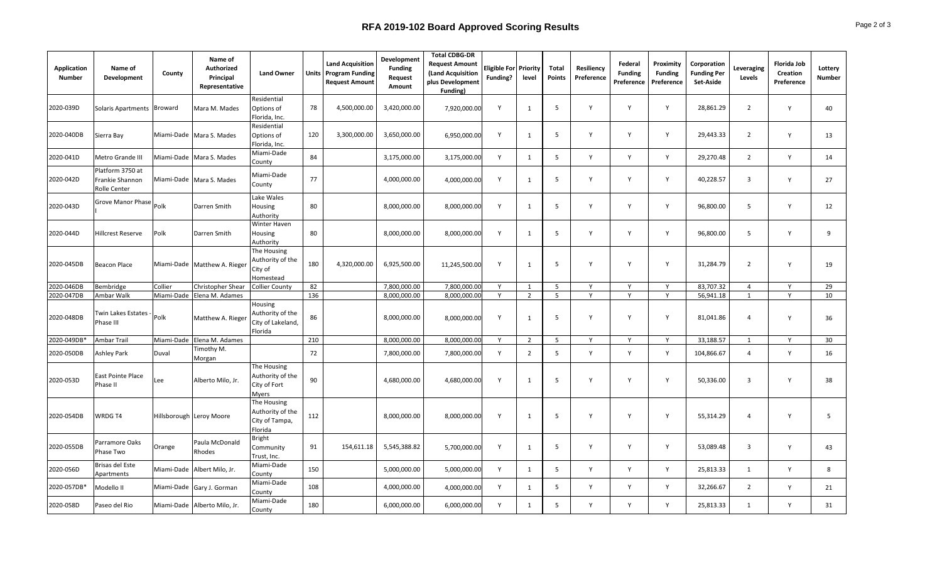| Application<br>Number | Name of<br>Development                              | County     | Name of<br>Authorized<br>Principal<br>Representative | <b>Land Owner</b>                                               |     | <b>Land Acquisition</b><br><b>Units Program Funding</b><br><b>Request Amount</b> | Development<br><b>Funding</b><br>Request<br>Amount | <b>Total CDBG-DR</b><br><b>Request Amount</b><br><b>Land Acquisition</b><br>plus Development<br>Funding) | <b>Eligible For Priority</b><br>Funding? | level          | Total<br>Points | Resiliency<br>Preference | Federal<br><b>Funding</b><br>Preference | Proximity<br><b>Funding</b><br>Preference | Corporation<br><b>Funding Per</b><br>Set-Aside | Leveraging<br>Levels | Florida Job<br>Creation<br>Preference | Lottery<br>Number |
|-----------------------|-----------------------------------------------------|------------|------------------------------------------------------|-----------------------------------------------------------------|-----|----------------------------------------------------------------------------------|----------------------------------------------------|----------------------------------------------------------------------------------------------------------|------------------------------------------|----------------|-----------------|--------------------------|-----------------------------------------|-------------------------------------------|------------------------------------------------|----------------------|---------------------------------------|-------------------|
| 2020-039D             | Solaris Apartments                                  | Broward    | Mara M. Mades                                        | Residential<br>Options of<br>Florida, Inc.                      | 78  | 4,500,000.00                                                                     | 3,420,000.00                                       | 7,920,000.00                                                                                             | Y                                        | $\mathbf{1}$   | 5               | Y                        | Y                                       | Y                                         | 28,861.29                                      | $\overline{2}$       | Y                                     | 40                |
| 2020-040DB            | Sierra Bay                                          |            | Miami-Dade Mara S. Mades                             | Residential<br>Options of<br>Florida, Inc.                      | 120 | 3,300,000.00                                                                     | 3,650,000.00                                       | 6,950,000.00                                                                                             | Y                                        | 1              | 5               | Y                        | Y                                       | Y                                         | 29,443.33                                      | $\overline{2}$       | Y                                     | 13                |
| 2020-041D             | Metro Grande III                                    |            | Miami-Dade Mara S. Mades                             | Miami-Dade<br>County                                            | 84  |                                                                                  | 3,175,000.00                                       | 3,175,000.00                                                                                             | Y                                        | $\mathbf{1}$   | 5               | Y                        | Y                                       | Y                                         | 29,270.48                                      | $\overline{2}$       | Υ                                     | 14                |
| 2020-042D             | Platform 3750 at<br>Frankie Shannon<br>Rolle Center |            | Miami-Dade Mara S. Mades                             | Miami-Dade<br>County                                            | 77  |                                                                                  | 4,000,000.00                                       | 4,000,000.00                                                                                             | Y                                        | $\mathbf{1}$   | 5               | Y                        | Y                                       | Y                                         | 40,228.57                                      | 3                    | Y                                     | 27                |
| 2020-043D             | Grove Manor Phase                                   | Polk       | Darren Smith                                         | Lake Wales<br>Housing<br>Authority                              | 80  |                                                                                  | 8,000,000.00                                       | 8,000,000.00                                                                                             | Y                                        | 1              | 5               | Y                        | Y                                       | Y                                         | 96,800.00                                      | 5                    | Y                                     | 12                |
| 2020-044D             | <b>Hillcrest Reserve</b>                            | Polk       | Darren Smith                                         | Winter Haven<br>Housing<br>Authority                            | 80  |                                                                                  | 8,000,000.00                                       | 8,000,000.00                                                                                             | Y                                        | $\mathbf{1}$   | 5               | Y                        | Y                                       | Y                                         | 96,800.00                                      | 5                    | Y                                     | 9                 |
| 2020-045DB            | Beacon Place                                        |            | Miami-Dade Matthew A. Rieger                         | The Housing<br>Authority of the<br>City of<br>Homestead         | 180 | 4,320,000.00                                                                     | 6,925,500.00                                       | 11,245,500.00                                                                                            | Y                                        | 1              | 5               | Y                        | Y                                       | Y                                         | 31,284.79                                      | $\overline{2}$       | Υ                                     | 19                |
| 2020-046DB            | Bembridge                                           | Collier    | <b>Christopher Shear</b>                             | <b>Collier County</b>                                           | 82  |                                                                                  | 7,800,000.00                                       | 7,800,000.00                                                                                             | Y                                        | $\mathbf{1}$   | 5               | Y                        | Y                                       | Y                                         | 83,707.32                                      | $\overline{4}$       | Υ                                     | 29                |
| 2020-047DB            | Ambar Walk                                          |            | Miami-Dade Elena M. Adames                           |                                                                 | 136 |                                                                                  | 8,000,000.00                                       | 8,000,000.00                                                                                             | $\mathsf{v}$                             | $\overline{2}$ | 5               | Y                        | Y                                       | Y                                         | 56,941.18                                      | $\mathbf{1}$         | Y                                     | 10                |
| 2020-048DB            | Twin Lakes Estates<br>Phase III                     | Polk       | Matthew A. Rieger                                    | Housing<br>Authority of the<br>City of Lakeland,<br>Florida     | 86  |                                                                                  | 8,000,000.00                                       | 8,000,000.00                                                                                             | Y                                        | $\mathbf{1}$   | 5               | Y                        | Y                                       | Y                                         | 81,041.86                                      | $\overline{4}$       | Y                                     | 36                |
| 2020-049DB*           | Ambar Trail                                         |            | Miami-Dade Elena M. Adames                           |                                                                 | 210 |                                                                                  | 8,000,000.00                                       | 8,000,000.00                                                                                             | Y                                        | $\overline{2}$ | 5               | Y                        | Y                                       | Y                                         | 33,188.57                                      | 1                    | Y                                     | 30                |
| 2020-050DB            | Ashley Park                                         | Duval      | Timothy M.<br>Morgan                                 |                                                                 | 72  |                                                                                  | 7,800,000.00                                       | 7,800,000.00                                                                                             | Y                                        | $\overline{2}$ | 5               | Y                        | Y                                       | Y                                         | 104,866.67                                     | $\overline{4}$       | Y                                     | 16                |
| 2020-053D             | East Pointe Place<br>Phase II                       | Lee        | Alberto Milo, Jr.                                    | The Housing<br>Authority of the<br>City of Fort<br><b>Myers</b> | 90  |                                                                                  | 4,680,000.00                                       | 4,680,000.00                                                                                             | Y                                        | 1              | 5               | Y                        | Y                                       | Y                                         | 50,336.00                                      | 3                    | Y                                     | 38                |
| 2020-054DB            | WRDG T4                                             |            | Hillsborough Leroy Moore                             | The Housing<br>Authority of the<br>City of Tampa,<br>Florida    | 112 |                                                                                  | 8,000,000.00                                       | 8,000,000.00                                                                                             | Y                                        | 1              | 5               | Y                        | Y                                       | Y                                         | 55,314.29                                      | $\overline{4}$       | Y                                     | 5                 |
| 2020-055DB            | Parramore Oaks<br>Phase Two                         | Orange     | Paula McDonald<br>Rhodes                             | <b>Bright</b><br>Community<br>Trust, Inc.                       | 91  | 154,611.18                                                                       | 5,545,388.82                                       | 5,700,000.00                                                                                             | Y                                        | $\mathbf{1}$   | 5               | Y                        | Y                                       | Y                                         | 53,089.48                                      | 3                    | Y                                     | 43                |
| 2020-056D             | Brisas del Este<br>Apartments                       | Miami-Dade | Albert Milo, Jr.                                     | Miami-Dade<br>County                                            | 150 |                                                                                  | 5,000,000.00                                       | 5,000,000.00                                                                                             | Y                                        | $\mathbf{1}$   | 5               | Y                        | Y                                       | Y                                         | 25,813.33                                      | $\mathbf{1}$         | Y                                     | 8                 |
| 2020-057DB*           | Modello II                                          |            | Miami-Dade Gary J. Gorman                            | Miami-Dade<br>County                                            | 108 |                                                                                  | 4,000,000.00                                       | 4,000,000.00                                                                                             | Y                                        | 1              | 5               | Y                        | Y                                       | Y                                         | 32,266.67                                      | $\overline{2}$       | Y                                     | 21                |
| 2020-058D             | Paseo del Rio                                       |            | Miami-Dade Alberto Milo, Jr.                         | Miami-Dade<br>County                                            | 180 |                                                                                  | 6,000,000.00                                       | 6,000,000.00                                                                                             | Y                                        | 1              | 5               | Y                        | Y                                       | Y                                         | 25,813.33                                      | $\mathbf{1}$         | Y                                     | 31                |